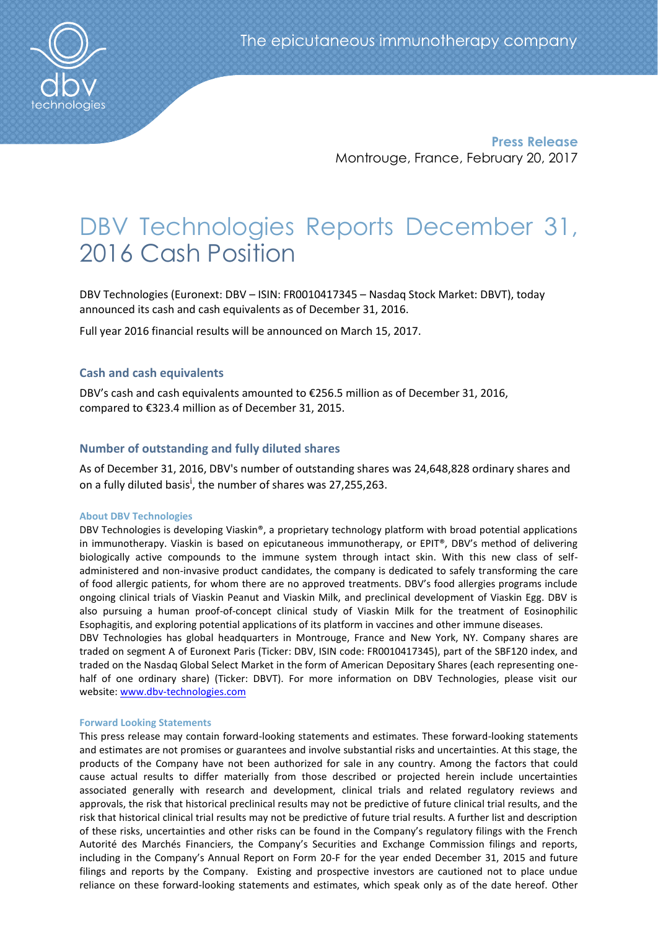

**Press Release** Montrouge, France, February 20, 2017

# DBV Technologies Reports December 31, 2016 Cash Position

DBV Technologies (Euronext: DBV – ISIN: FR0010417345 – Nasdaq Stock Market: DBVT), today announced its cash and cash equivalents as of December 31, 2016.

Full year 2016 financial results will be announced on March 15, 2017.

# **Cash and cash equivalents**

DBV's cash and cash equivalents amounted to €256.5 million as of December 31, 2016, compared to €323.4 million as of December 31, 2015.

# **Number of outstanding and fully diluted shares**

As of December 31, 2016, DBV's number of outstanding shares was 24,648,828 ordinary shares and on a fully diluted basis<sup>i</sup>, the number of shares was 27,255,263.

### **About DBV Technologies**

DBV Technologies is developing Viaskin®, a proprietary technology platform with broad potential applications in immunotherapy. Viaskin is based on epicutaneous immunotherapy, or EPIT®, DBV's method of delivering biologically active compounds to the immune system through intact skin. With this new class of selfadministered and non-invasive product candidates, the company is dedicated to safely transforming the care of food allergic patients, for whom there are no approved treatments. DBV's food allergies programs include ongoing clinical trials of Viaskin Peanut and Viaskin Milk, and preclinical development of Viaskin Egg. DBV is also pursuing a human proof-of-concept clinical study of Viaskin Milk for the treatment of Eosinophilic Esophagitis, and exploring potential applications of its platform in vaccines and other immune diseases.

DBV Technologies has global headquarters in Montrouge, France and New York, NY. Company shares are traded on segment A of Euronext Paris (Ticker: DBV, ISIN code: FR0010417345), part of the SBF120 index, and traded on the Nasdaq Global Select Market in the form of American Depositary Shares (each representing onehalf of one ordinary share) (Ticker: DBVT). For more information on DBV Technologies, please visit our website: [www.dbv-technologies.com](http://www.dbv-technologies.com/)

#### **Forward Looking Statements**

This press release may contain forward-looking statements and estimates. These forward-looking statements and estimates are not promises or guarantees and involve substantial risks and uncertainties. At this stage, the products of the Company have not been authorized for sale in any country. Among the factors that could cause actual results to differ materially from those described or projected herein include uncertainties associated generally with research and development, clinical trials and related regulatory reviews and approvals, the risk that historical preclinical results may not be predictive of future clinical trial results, and the risk that historical clinical trial results may not be predictive of future trial results. A further list and description of these risks, uncertainties and other risks can be found in the Company's regulatory filings with the French Autorité des Marchés Financiers, the Company's Securities and Exchange Commission filings and reports, including in the Company's Annual Report on Form 20-F for the year ended December 31, 2015 and future filings and reports by the Company. Existing and prospective investors are cautioned not to place undue reliance on these forward-looking statements and estimates, which speak only as of the date hereof. Other